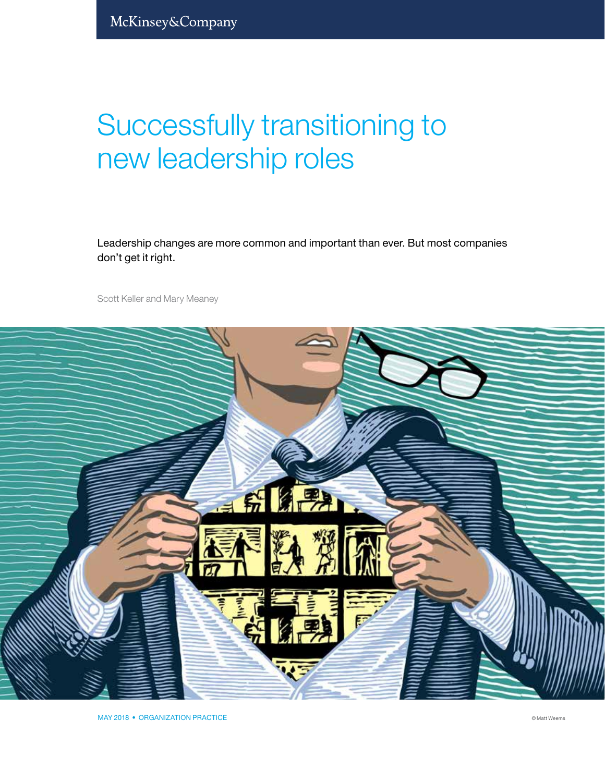# Successfully transitioning to new leadership roles

Leadership changes are more common and important than ever. But most companies don't get it right.

Scott Keller and Mary Meaney



MAY 2018 • ORGANIZATION PRACTICE © Matt Weems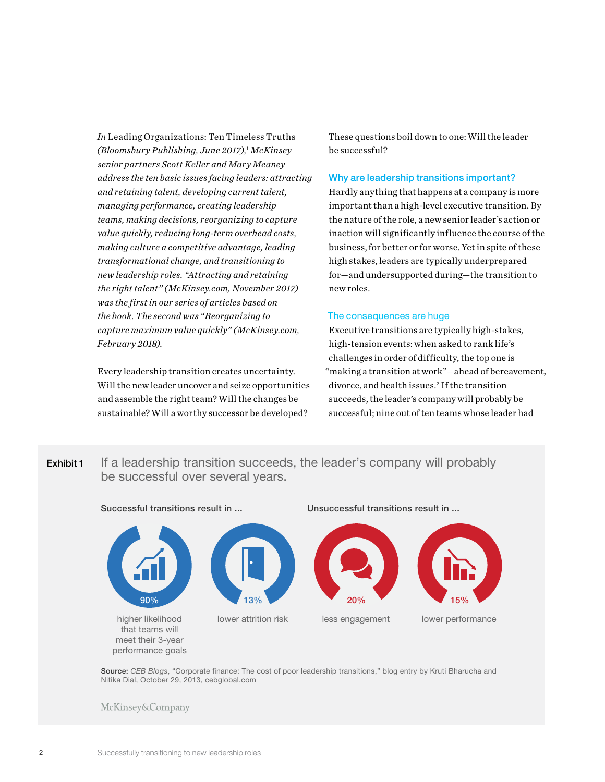*In* Leading Organizations: Ten Timeless Truths *(Bloomsbury Publishing, June 2017),*<sup>1</sup>  *McKinsey senior partners Scott Keller and Mary Meaney address the ten basic issues facing leaders: attracting and retaining talent, developing current talent, managing performance, creating leadership teams, making decisions, reorganizing to capture value quickly, reducing long-term overhead costs, making culture a competitive advantage, leading transformational change, and transitioning to new leadership roles. "Attracting and retaining the right talent" (McKinsey.com, November 2017) was the first in our series of articles based on the book. The second was "Reorganizing to capture maximum value quickly" (McKinsey.com, February 2018).*

Every leadership transition creates uncertainty. Will the new leader uncover and seize opportunities and assemble the right team? Will the changes be sustainable? Will a worthy successor be developed?

These questions boil down to one: Will the leader be successful?

#### Why are leadership transitions important?

Hardly anything that happens at a company is more important than a high-level executive transition. By the nature of the role, a new senior leader's action or inaction will significantly influence the course of the business, for better or for worse. Yet in spite of these high stakes, leaders are typically underprepared for—and undersupported during—the transition to new roles.

#### The consequences are huge

Executive transitions are typically high-stakes, high-tension events: when asked to rank life's challenges in order of difficulty, the top one is "making a transition at work"—ahead of bereavement, divorce, and health issues.2 If the transition succeeds, the leader's company will probably be successful; nine out of ten teams whose leader had

Exhibit 1 If a leadership transition succeeds, the leader's company will probably be successful over several years.



Source: *CEB Blogs*, "Corporate finance: The cost of poor leadership transitions," blog entry by Kruti Bharucha and Nitika Dial, October 29, 2013, cebglobal.com

**McKinsey&Company**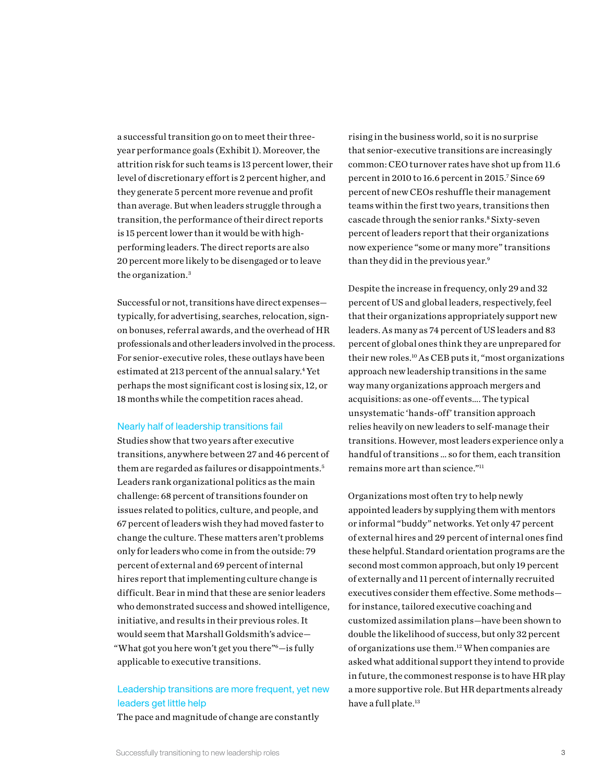a successful transition go on to meet their threeyear performance goals (Exhibit 1). Moreover, the attrition risk for such teams is 13 percent lower, their level of discretionary effort is 2 percent higher, and they generate 5 percent more revenue and profit than average. But when leaders struggle through a transition, the performance of their direct reports is 15 percent lower than it would be with highperforming leaders. The direct reports are also 20 percent more likely to be disengaged or to leave the organization.3

Successful or not, transitions have direct expenses typically, for advertising, searches, relocation, signon bonuses, referral awards, and the overhead of HR professionals and other leaders involved in the process. For senior-executive roles, these outlays have been estimated at 213 percent of the annual salary.<sup>4</sup> Yet perhaps the most significant cost is losing six, 12, or 18 months while the competition races ahead.

#### Nearly half of leadership transitions fail

Studies show that two years after executive transitions, anywhere between 27 and 46 percent of them are regarded as failures or disappointments.<sup>5</sup> Leaders rank organizational politics as the main challenge: 68 percent of transitions founder on issues related to politics, culture, and people, and 67 percent of leaders wish they had moved faster to change the culture. These matters aren't problems only for leaders who come in from the outside: 79 percent of external and 69 percent of internal hires report that implementing culture change is difficult. Bear in mind that these are senior leaders who demonstrated success and showed intelligence, initiative, and results in their previous roles. It would seem that Marshall Goldsmith's advice— "What got you here won't get you there"6—is fully applicable to executive transitions.

## Leadership transitions are more frequent, yet new leaders get little help

The pace and magnitude of change are constantly

rising in the business world, so it is no surprise that senior-executive transitions are increasingly common: CEO turnover rates have shot up from 11.6 percent in 2010 to 16.6 percent in 2015.7 Since 69 percent of new CEOs reshuffle their management teams within the first two years, transitions then cascade through the senior ranks.<sup>8</sup> Sixty-seven percent of leaders report that their organizations now experience "some or many more" transitions than they did in the previous year.<sup>9</sup>

Despite the increase in frequency, only 29 and 32 percent of US and global leaders, respectively, feel that their organizations appropriately support new leaders. As many as 74 percent of US leaders and 83 percent of global ones think they are unprepared for their new roles.10 As CEB puts it, "most organizations approach new leadership transitions in the same way many organizations approach mergers and acquisitions: as one-off events…. The typical unsystematic 'hands-off' transition approach relies heavily on new leaders to self-manage their transitions. However, most leaders experience only a handful of transitions … so for them, each transition remains more art than science."11

Organizations most often try to help newly appointed leaders by supplying them with mentors or informal "buddy" networks. Yet only 47 percent of external hires and 29 percent of internal ones find these helpful. Standard orientation programs are the second most common approach, but only 19 percent of externally and 11 percent of internally recruited executives consider them effective. Some methods for instance, tailored executive coaching and customized assimilation plans—have been shown to double the likelihood of success, but only 32 percent of organizations use them.12 When companies are asked what additional support they intend to provide in future, the commonest response is to have HR play a more supportive role. But HR departments already have a full plate.<sup>13</sup>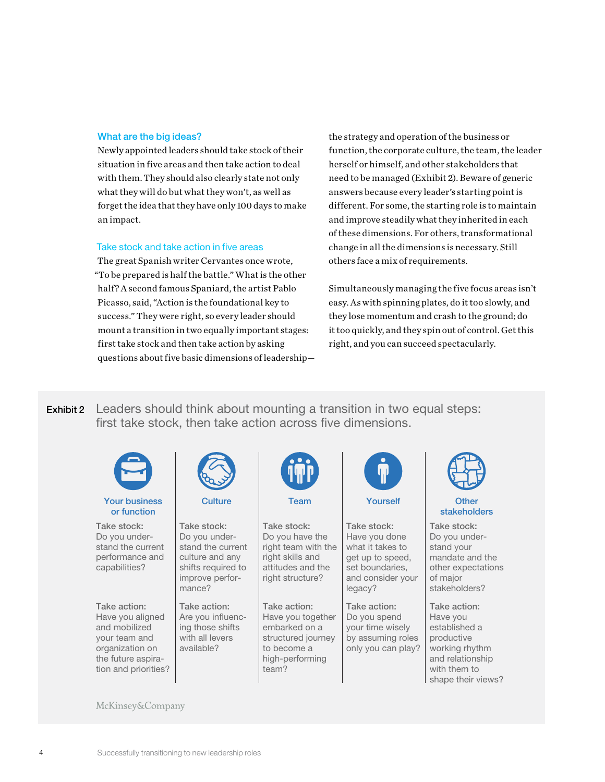### What are the big ideas?

Newly appointed leaders should take stock of their situation in five areas and then take action to deal with them. They should also clearly state not only what they will do but what they won't, as well as forget the idea that they have only 100 days to make an impact.

#### Take stock and take action in five areas

The great Spanish writer Cervantes once wrote, "To be prepared is half the battle." What is the other half? A second famous Spaniard, the artist Pablo Picasso, said, "Action is the foundational key to success." They were right, so every leader should mount a transition in two equally important stages: first take stock and then take action by asking questions about five basic dimensions of leadershipthe strategy and operation of the business or function, the corporate culture, the team, the leader herself or himself, and other stakeholders that need to be managed (Exhibit 2). Beware of generic answers because every leader's starting point is different. For some, the starting role is to maintain and improve steadily what they inherited in each of these dimensions. For others, transformational change in all the dimensions is necessary. Still others face a mix of requirements.

Simultaneously managing the five focus areas isn't easy. As with spinning plates, do it too slowly, and they lose momentum and crash to the ground; do it too quickly, and they spin out of control. Get this right, and you can succeed spectacularly.

**Exhibit 2** Leaders should think about mounting a transition in two equal steps: first take stock, then take action across five dimensions.

| <b>Your business</b><br>or function                                                                                                 | <b>Culture</b>                                                                                                          | <b>Team</b>                                                                                                         | Yourself                                                                                                                | <b>Other</b><br>stakeholders                                                                                                        |
|-------------------------------------------------------------------------------------------------------------------------------------|-------------------------------------------------------------------------------------------------------------------------|---------------------------------------------------------------------------------------------------------------------|-------------------------------------------------------------------------------------------------------------------------|-------------------------------------------------------------------------------------------------------------------------------------|
| Take stock:<br>Do you under-<br>stand the current<br>performance and<br>capabilities?                                               | Take stock:<br>Do you under-<br>stand the current<br>culture and any<br>shifts required to<br>improve perfor-<br>mance? | Take stock:<br>Do you have the<br>right team with the<br>right skills and<br>attitudes and the<br>right structure?  | Take stock:<br>Have you done<br>what it takes to<br>get up to speed,<br>set boundaries,<br>and consider your<br>legacy? | Take stock:<br>Do you under-<br>stand your<br>mandate and the<br>other expectations<br>of major<br>stakeholders?                    |
| Take action:<br>Have you aligned<br>and mobilized<br>your team and<br>organization on<br>the future aspira-<br>tion and priorities? | Take action:<br>Are you influenc-<br>ing those shifts<br>with all levers<br>available?                                  | Take action:<br>Have you together<br>embarked on a<br>structured journey<br>to become a<br>high-performing<br>team? | Take action:<br>Do you spend<br>your time wisely<br>by assuming roles<br>only you can play?                             | Take action:<br>Have you<br>established a<br>productive<br>working rhythm<br>and relationship<br>with them to<br>shape their views? |

McKinsey&Company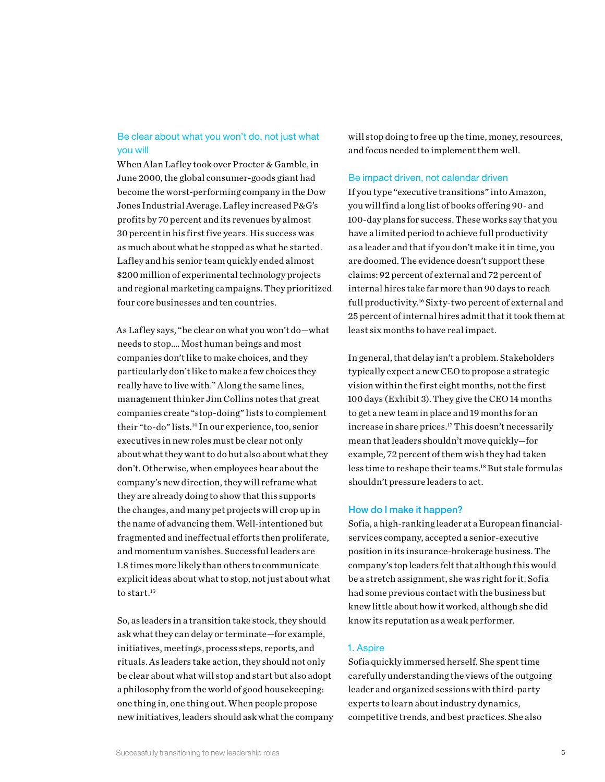## Be clear about what you won't do, not just what you will

When Alan Lafley took over Procter & Gamble, in June 2000, the global consumer-goods giant had become the worst-performing company in the Dow Jones Industrial Average. Lafley increased P&G's profits by 70 percent and its revenues by almost 30 percent in his first five years. His success was as much about what he stopped as what he started. Lafley and his senior team quickly ended almost \$200 million of experimental technology projects and regional marketing campaigns. They prioritized four core businesses and ten countries.

As Lafley says, "be clear on what you won't do—what needs to stop…. Most human beings and most companies don't like to make choices, and they particularly don't like to make a few choices they really have to live with." Along the same lines, management thinker Jim Collins notes that great companies create "stop-doing" lists to complement their "to-do" lists.14 In our experience, too, senior executives in new roles must be clear not only about what they want to do but also about what they don't. Otherwise, when employees hear about the company's new direction, they will reframe what they are already doing to show that this supports the changes, and many pet projects will crop up in the name of advancing them. Well-intentioned but fragmented and ineffectual efforts then proliferate, and momentum vanishes. Successful leaders are 1.8 times more likely than others to communicate explicit ideas about what to stop, not just about what to start.<sup>15</sup>

So, as leaders in a transition take stock, they should ask what they can delay or terminate—for example, initiatives, meetings, process steps, reports, and rituals. As leaders take action, they should not only be clear about what will stop and start but also adopt a philosophy from the world of good housekeeping: one thing in, one thing out. When people propose new initiatives, leaders should ask what the company will stop doing to free up the time, money, resources, and focus needed to implement them well.

#### Be impact driven, not calendar driven

If you type "executive transitions" into Amazon, you will find a long list of books offering 90- and 100-day plans for success. These works say that you have a limited period to achieve full productivity as a leader and that if you don't make it in time, you are doomed. The evidence doesn't support these claims: 92 percent of external and 72 percent of internal hires take far more than 90 days to reach full productivity.16 Sixty-two percent of external and 25 percent of internal hires admit that it took them at least six months to have real impact.

In general, that delay isn't a problem. Stakeholders typically expect a new CEO to propose a strategic vision within the first eight months, not the first 100 days (Exhibit 3). They give the CEO 14 months to get a new team in place and 19 months for an increase in share prices.17 This doesn't necessarily mean that leaders shouldn't move quickly—for example, 72 percent of them wish they had taken less time to reshape their teams.18 But stale formulas shouldn't pressure leaders to act.

#### How do I make it happen?

Sofia, a high-ranking leader at a European financialservices company, accepted a senior-executive position in its insurance-brokerage business. The company's top leaders felt that although this would be a stretch assignment, she was right for it. Sofia had some previous contact with the business but knew little about how it worked, although she did know its reputation as a weak performer.

#### 1. Aspire

Sofia quickly immersed herself. She spent time carefully understanding the views of the outgoing leader and organized sessions with third-party experts to learn about industry dynamics, competitive trends, and best practices. She also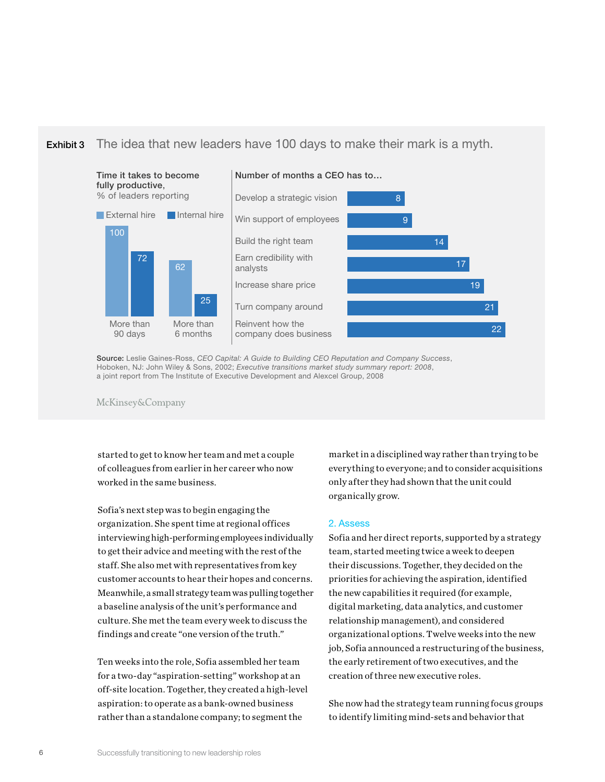#### Exhibit 3 The idea that new leaders have 100 days to make their mark is a myth.



Source: Leslie Gaines-Ross, *CEO Capital: A Guide to Building CEO Reputation and Company Success*, Hoboken, NJ: John Wiley & Sons, 2002; *Executive transitions market study summary report: 2008*, a joint report from The Institute of Executive Development and Alexcel Group, 2008

McKinsey&Company

started to get to know her team and met a couple of colleagues from earlier in her career who now worked in the same business.

Sofia's next step was to begin engaging the organization. She spent time at regional offices interviewing high-performing employees individually to get their advice and meeting with the rest of the staff. She also met with representatives from key customer accounts to hear their hopes and concerns. Meanwhile, a small strategy team was pulling together a baseline analysis of the unit's performance and culture. She met the team every week to discuss the findings and create "one version of the truth."

Ten weeks into the role, Sofia assembled her team for a two-day "aspiration-setting" workshop at an off-site location. Together, they created a high-level aspiration: to operate as a bank-owned business rather than a standalone company; to segment the

market in a disciplined way rather than trying to be everything to everyone; and to consider acquisitions only after they had shown that the unit could organically grow.

#### 2. Assess

Sofia and her direct reports, supported by a strategy team, started meeting twice a week to deepen their discussions. Together, they decided on the priorities for achieving the aspiration, identified the new capabilities it required (for example, digital marketing, data analytics, and customer relationship management), and considered organizational options. Twelve weeks into the new job, Sofia announced a restructuring of the business, the early retirement of two executives, and the creation of three new executive roles.

She now had the strategy team running focus groups to identify limiting mind-sets and behavior that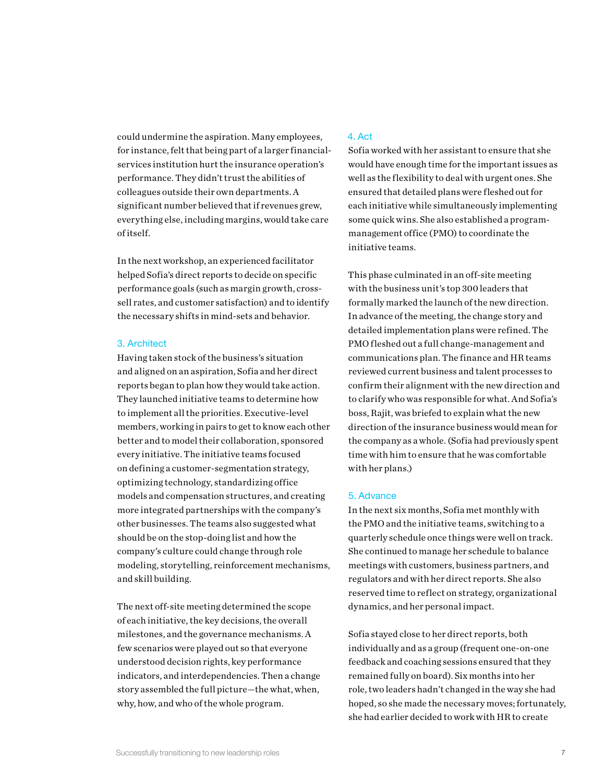could undermine the aspiration. Many employees, for instance, felt that being part of a larger financialservices institution hurt the insurance operation's performance. They didn't trust the abilities of colleagues outside their own departments. A significant number believed that if revenues grew, everything else, including margins, would take care of itself.

In the next workshop, an experienced facilitator helped Sofia's direct reports to decide on specific performance goals (such as margin growth, crosssell rates, and customer satisfaction) and to identify the necessary shifts in mind-sets and behavior.

#### 3. Architect

Having taken stock of the business's situation and aligned on an aspiration, Sofia and her direct reports began to plan how they would take action. They launched initiative teams to determine how to implement all the priorities. Executive-level members, working in pairs to get to know each other better and to model their collaboration, sponsored every initiative. The initiative teams focused on defining a customer-segmentation strategy, optimizing technology, standardizing office models and compensation structures, and creating more integrated partnerships with the company's other businesses. The teams also suggested what should be on the stop-doing list and how the company's culture could change through role modeling, storytelling, reinforcement mechanisms, and skill building.

The next off-site meeting determined the scope of each initiative, the key decisions, the overall milestones, and the governance mechanisms. A few scenarios were played out so that everyone understood decision rights, key performance indicators, and interdependencies. Then a change story assembled the full picture—the what, when, why, how, and who of the whole program.

### 4. Act

Sofia worked with her assistant to ensure that she would have enough time for the important issues as well as the flexibility to deal with urgent ones. She ensured that detailed plans were fleshed out for each initiative while simultaneously implementing some quick wins. She also established a programmanagement office (PMO) to coordinate the initiative teams.

This phase culminated in an off-site meeting with the business unit's top 300 leaders that formally marked the launch of the new direction. In advance of the meeting, the change story and detailed implementation plans were refined. The PMO fleshed out a full change-management and communications plan. The finance and HR teams reviewed current business and talent processes to confirm their alignment with the new direction and to clarify who was responsible for what. And Sofia's boss, Rajit, was briefed to explain what the new direction of the insurance business would mean for the company as a whole. (Sofia had previously spent time with him to ensure that he was comfortable with her plans.)

### 5. Advance

In the next six months, Sofia met monthly with the PMO and the initiative teams, switching to a quarterly schedule once things were well on track. She continued to manage her schedule to balance meetings with customers, business partners, and regulators and with her direct reports. She also reserved time to reflect on strategy, organizational dynamics, and her personal impact.

Sofia stayed close to her direct reports, both individually and as a group (frequent one-on-one feedback and coaching sessions ensured that they remained fully on board). Six months into her role, two leaders hadn't changed in the way she had hoped, so she made the necessary moves; fortunately, she had earlier decided to work with HR to create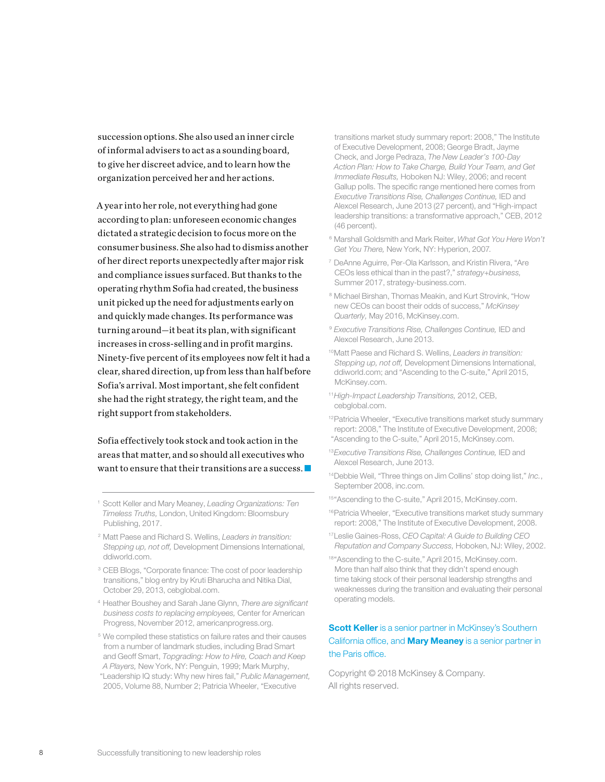succession options. She also used an inner circle of informal advisers to act as a sounding board, to give her discreet advice, and to learn how the organization perceived her and her actions.

A year into her role, not everything had gone according to plan: unforeseen economic changes dictated a strategic decision to focus more on the consumer business. She also had to dismiss another of her direct reports unexpectedly after major risk and compliance issues surfaced. But thanks to the operating rhythm Sofia had created, the business unit picked up the need for adjustments early on and quickly made changes. Its performance was turning around—it beat its plan, with significant increases in cross-selling and in profit margins. Ninety-five percent of its employees now felt it had a clear, shared direction, up from less than half before Sofia's arrival. Most important, she felt confident she had the right strategy, the right team, and the right support from stakeholders.

Sofia effectively took stock and took action in the areas that matter, and so should all executives who want to ensure that their transitions are a success.

- 4 Heather Boushey and Sarah Jane Glynn, *There are significant business costs to replacing employees,* Center for American Progress, November 2012, americanprogress.org.
- 5 We compiled these statistics on failure rates and their causes from a number of landmark studies, including Brad Smart and Geoff Smart, *Topgrading: How to Hire, Coach and Keep A Players,* New York, NY: Penguin, 1999; Mark Murphy, "Leadership IQ study: Why new hires fail," *Public Management,*  2005, Volume 88, Number 2; Patricia Wheeler, "Executive

transitions market study summary report: 2008," The Institute of Executive Development, 2008; George Bradt, Jayme Check, and Jorge Pedraza, *The New Leader's 100-Day Action Plan: How to Take Charge, Build Your Team, and Get Immediate Results,* Hoboken NJ: Wiley, 2006; and recent Gallup polls. The specific range mentioned here comes from *Executive Transitions Rise, Challenges Continue,* IED and Alexcel Research, June 2013 (27 percent), and "High-impact leadership transitions: a transformative approach," CEB, 2012 (46 percent).

- 6 Marshall Goldsmith and Mark Reiter, *What Got You Here Won't Get You There,* New York, NY: Hyperion, 2007.
- 7 DeAnne Aguirre, Per-Ola Karlsson, and Kristin Rivera, "Are CEOs less ethical than in the past?," *strategy+business,* Summer 2017, strategy-business.com.
- 8 Michael Birshan, Thomas Meakin, and Kurt Strovink, "How new CEOs can boost their odds of success," *McKinsey Quarterly,* May 2016, McKinsey.com.
- <sup>9</sup>*Executive Transitions Rise, Challenges Continue,* IED and Alexcel Research, June 2013.
- 10Matt Paese and Richard S. Wellins, *Leaders in transition: Stepping up, not off,* Development Dimensions International, ddiworld.com; and "Ascending to the C-suite," April 2015, McKinsey.com.
- <sup>11</sup>*High-Impact Leadership Transitions,* 2012, CEB, cebglobal.com.
- <sup>12</sup> Patricia Wheeler, "Executive transitions market study summary report: 2008," The Institute of Executive Development, 2008; "Ascending to the C-suite," April 2015, McKinsey.com.
- <sup>13</sup>*Executive Transitions Rise, Challenges Continue,* IED and Alexcel Research, June 2013.
- 14Debbie Weil, "Three things on Jim Collins' stop doing list," *Inc.*, September 2008, inc.com.
- 15"Ascending to the C-suite," April 2015, McKinsey.com.
- 16Patricia Wheeler, "Executive transitions market study summary report: 2008," The Institute of Executive Development, 2008.
- 17Leslie Gaines-Ross, *CEO Capital: A Guide to Building CEO Reputation and Company Success,* Hoboken, NJ: Wiley, 2002.
- 18" Ascending to the C-suite," April 2015, McKinsey.com. More than half also think that they didn't spend enough time taking stock of their personal leadership strengths and weaknesses during the transition and evaluating their personal operating models.

## **Scott Keller** is a senior partner in McKinsey's Southern California office, and **Mary Meaney** is a senior partner in the Paris office.

Copyright © 2018 McKinsey & Company. All rights reserved.

<sup>1</sup> Scott Keller and Mary Meaney, *Leading Organizations: Ten Timeless Truths,* London, United Kingdom: Bloomsbury Publishing, 2017.

<sup>2</sup> Matt Paese and Richard S. Wellins, *Leaders in transition: Stepping up, not off,* Development Dimensions International, ddiworld.com.

<sup>&</sup>lt;sup>3</sup> CEB Blogs, "Corporate finance: The cost of poor leadership transitions," blog entry by Kruti Bharucha and Nitika Dial, October 29, 2013, cebglobal.com.